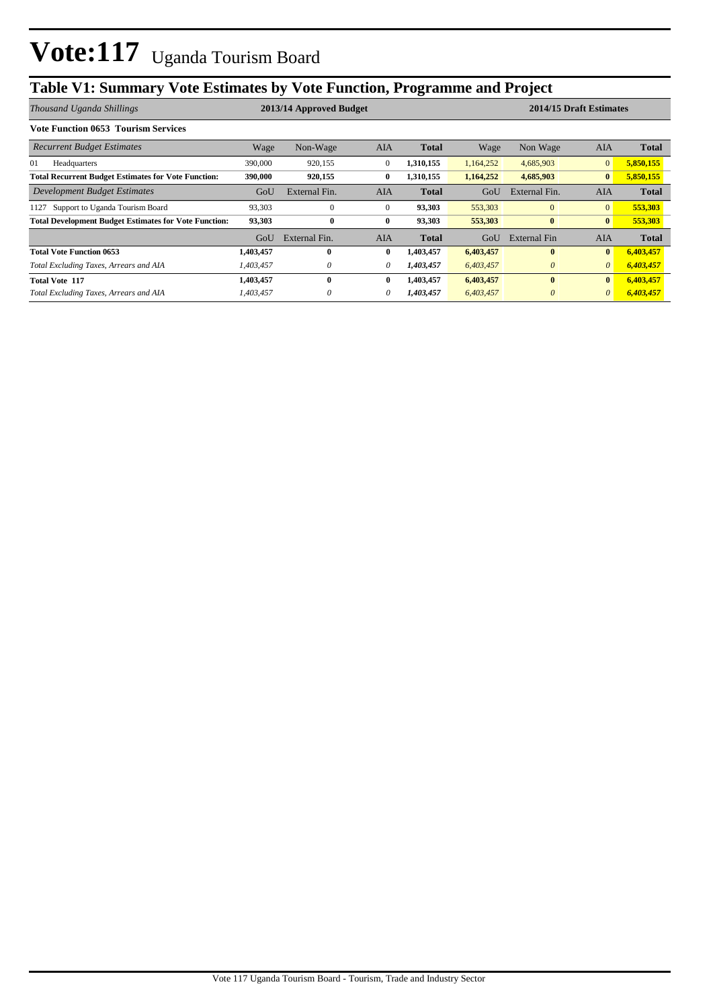## **Table V1: Summary Vote Estimates by Vote Function, Programme and Project**

| Thousand Uganda Shillings                                    |           | 2013/14 Approved Budget |              |              | 2014/15 Draft Estimates |               |                |              |
|--------------------------------------------------------------|-----------|-------------------------|--------------|--------------|-------------------------|---------------|----------------|--------------|
| <b>Vote Function 0653 Tourism Services</b>                   |           |                         |              |              |                         |               |                |              |
| <b>Recurrent Budget Estimates</b>                            | Wage      | Non-Wage                | AIA          | <b>Total</b> | Wage                    | Non Wage      | AIA            | <b>Total</b> |
| 01<br>Headquarters                                           | 390,000   | 920,155                 | $\mathbf{0}$ | 1,310,155    | 1,164,252               | 4,685,903     | $\mathbf{0}$   | 5,850,155    |
| <b>Total Recurrent Budget Estimates for Vote Function:</b>   | 390,000   | 920,155                 | $\bf{0}$     | 1,310,155    | 1,164,252               | 4,685,903     | $\bf{0}$       | 5,850,155    |
| Development Budget Estimates                                 | GoU       | External Fin.           | <b>AIA</b>   | <b>Total</b> | GoU                     | External Fin. | <b>AIA</b>     | <b>Total</b> |
| Support to Uganda Tourism Board<br>1127                      | 93,303    | $\mathbf{0}$            | $\mathbf{0}$ | 93,303       | 553,303                 | $\mathbf{0}$  | $\overline{0}$ | 553,303      |
| <b>Total Development Budget Estimates for Vote Function:</b> | 93,303    | $\bf{0}$                | 0            | 93,303       | 553,303                 | $\bf{0}$      | $\bf{0}$       | 553,303      |
|                                                              | GoU       | External Fin.           | AIA          | <b>Total</b> | GoU                     | External Fin  | <b>AIA</b>     | <b>Total</b> |
| <b>Total Vote Function 0653</b>                              | 1,403,457 | $\mathbf{0}$            | $\bf{0}$     | 1,403,457    | 6,403,457               | $\mathbf{0}$  | $\mathbf{0}$   | 6,403,457    |
| Total Excluding Taxes, Arrears and AIA                       | 1,403,457 | $\theta$                | 0            | 1,403,457    | 6,403,457               | $\theta$      | $\theta$       | 6,403,457    |
| <b>Total Vote 117</b>                                        | 1,403,457 | $\mathbf{0}$            | $\bf{0}$     | 1,403,457    | 6,403,457               | $\mathbf{0}$  | $\bf{0}$       | 6,403,457    |
| Total Excluding Taxes, Arrears and AIA                       | 1,403,457 | $\theta$                | 0            | 1,403,457    | 6,403,457               | $\theta$      | $\theta$       | 6,403,457    |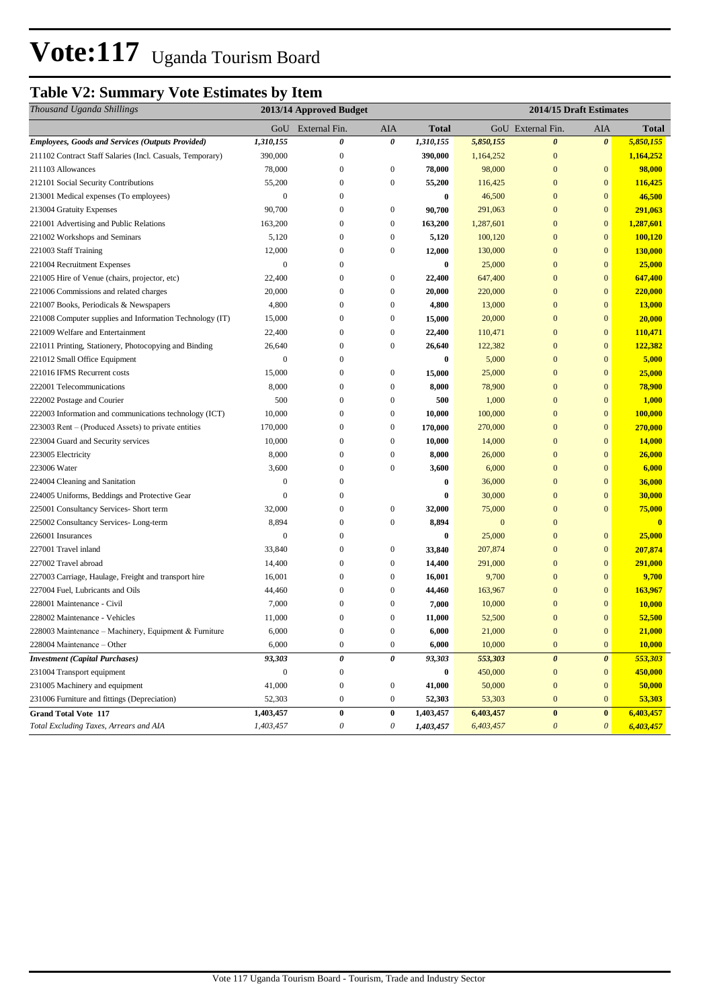### **Table V2: Summary Vote Estimates by Item**

| Thousand Uganda Shillings                                 | 2013/14 Approved Budget |                           |                  |              | 2014/15 Draft Estimates |                       |                       |                |  |
|-----------------------------------------------------------|-------------------------|---------------------------|------------------|--------------|-------------------------|-----------------------|-----------------------|----------------|--|
|                                                           | GoU                     | External Fin.             | <b>AIA</b>       | <b>Total</b> |                         | GoU External Fin.     | AIA                   | Total          |  |
| Employees, Goods and Services (Outputs Provided)          | 1,310,155               | 0                         | 0                | 1,310,155    | 5,850,155               | $\boldsymbol{\theta}$ | $\boldsymbol{\theta}$ | 5,850,155      |  |
| 211102 Contract Staff Salaries (Incl. Casuals, Temporary) | 390,000                 | $\boldsymbol{0}$          |                  | 390,000      | 1,164,252               | $\mathbf{0}$          |                       | 1,164,252      |  |
| 211103 Allowances                                         | 78,000                  | $\boldsymbol{0}$          | $\boldsymbol{0}$ | 78,000       | 98,000                  | $\mathbf{0}$          | $\bf{0}$              | 98,000         |  |
| 212101 Social Security Contributions                      | 55,200                  | $\boldsymbol{0}$          | $\boldsymbol{0}$ | 55,200       | 116,425                 | $\mathbf{0}$          | $\mathbf{0}$          | 116,425        |  |
| 213001 Medical expenses (To employees)                    | $\mathbf{0}$            | $\mathbf{0}$              |                  | $\bf{0}$     | 46,500                  | $\mathbf{0}$          | $\mathbf{0}$          | 46,500         |  |
| 213004 Gratuity Expenses                                  | 90,700                  | $\mathbf{0}$              | $\boldsymbol{0}$ | 90,700       | 291,063                 | $\mathbf{0}$          | $\mathbf{0}$          | 291,063        |  |
| 221001 Advertising and Public Relations                   | 163,200                 | $\mathbf{0}$              | $\boldsymbol{0}$ | 163,200      | 1,287,601               | $\mathbf{0}$          | $\mathbf{0}$          | 1,287,601      |  |
| 221002 Workshops and Seminars                             | 5,120                   | $\mathbf{0}$              | $\mathbf{0}$     | 5,120        | 100,120                 | $\mathbf{0}$          | $\mathbf{0}$          | 100,120        |  |
| 221003 Staff Training                                     | 12,000                  | $\boldsymbol{0}$          | $\mathbf{0}$     | 12,000       | 130,000                 | $\mathbf{0}$          | $\mathbf{0}$          | <b>130,000</b> |  |
| 221004 Recruitment Expenses                               | $\mathbf{0}$            | 0                         |                  | $\bf{0}$     | 25,000                  | $\mathbf{0}$          | $\mathbf{0}$          | 25,000         |  |
| 221005 Hire of Venue (chairs, projector, etc)             | 22,400                  | 0                         | $\boldsymbol{0}$ | 22,400       | 647,400                 | $\mathbf{0}$          | $\mathbf{0}$          | 647,400        |  |
| 221006 Commissions and related charges                    | 20,000                  | $\mathbf{0}$              | $\mathbf{0}$     | 20,000       | 220,000                 | $\mathbf{0}$          | $\mathbf{0}$          | 220,000        |  |
| 221007 Books, Periodicals & Newspapers                    | 4,800                   | $\mathbf{0}$              | $\mathbf{0}$     | 4,800        | 13,000                  | $\overline{0}$        | $\mathbf{0}$          | 13,000         |  |
| 221008 Computer supplies and Information Technology (IT)  | 15,000                  | $\mathbf{0}$              | $\mathbf{0}$     | 15,000       | 20,000                  | $\mathbf{0}$          | $\mathbf{0}$          | 20,000         |  |
| 221009 Welfare and Entertainment                          | 22,400                  | $\mathbf{0}$              | $\boldsymbol{0}$ | 22,400       | 110,471                 | $\mathbf{0}$          | $\mathbf{0}$          | 110,471        |  |
| 221011 Printing, Stationery, Photocopying and Binding     | 26,640                  | $\mathbf{0}$              | $\mathbf{0}$     | 26,640       | 122,382                 | $\mathbf{0}$          | $\bf{0}$              | 122,382        |  |
| 221012 Small Office Equipment                             | $\boldsymbol{0}$        | $\mathbf{0}$              |                  | $\bf{0}$     | 5,000                   | $\mathbf{0}$          | $\mathbf{0}$          | 5,000          |  |
| 221016 IFMS Recurrent costs                               | 15,000                  | $\boldsymbol{0}$          | $\boldsymbol{0}$ | 15,000       | 25,000                  | $\mathbf{0}$          | $\mathbf{0}$          | 25,000         |  |
| 222001 Telecommunications                                 | 8,000                   | $\boldsymbol{0}$          | $\boldsymbol{0}$ | 8,000        | 78,900                  | $\mathbf{0}$          | $\boldsymbol{0}$      | <b>78,900</b>  |  |
| 222002 Postage and Courier                                | 500                     | $\boldsymbol{0}$          | $\mathbf{0}$     | 500          | 1,000                   | $\mathbf{0}$          | $\mathbf{0}$          | 1,000          |  |
| 222003 Information and communications technology (ICT)    | 10,000                  | $\boldsymbol{0}$          | $\mathbf{0}$     | 10,000       | 100,000                 | $\mathbf{0}$          | $\mathbf{0}$          | 100,000        |  |
| 223003 Rent – (Produced Assets) to private entities       | 170,000                 | $\mathbf{0}$              | $\mathbf{0}$     | 170,000      | 270,000                 | $\mathbf{0}$          | $\bf{0}$              | 270,000        |  |
| 223004 Guard and Security services                        | 10,000                  | $\boldsymbol{0}$          | $\mathbf{0}$     | 10,000       | 14,000                  | $\mathbf{0}$          | $\bf{0}$              | 14,000         |  |
| 223005 Electricity                                        | 8,000                   | $\mathbf{0}$              | $\boldsymbol{0}$ | 8,000        | 26,000                  | $\mathbf{0}$          | $\bf{0}$              | 26,000         |  |
| 223006 Water                                              | 3,600                   | $\mathbf{0}$              | $\mathbf{0}$     | 3,600        | 6,000                   | $\mathbf{0}$          | $\bf{0}$              | 6,000          |  |
| 224004 Cleaning and Sanitation                            | $\mathbf{0}$            | $\mathbf{0}$              |                  | $\bf{0}$     | 36,000                  | $\mathbf{0}$          | $\mathbf{0}$          | 36,000         |  |
| 224005 Uniforms, Beddings and Protective Gear             | $\mathbf{0}$            | $\mathbf{0}$              |                  | $\bf{0}$     | 30,000                  | $\mathbf{0}$          | $\mathbf{0}$          | 30,000         |  |
| 225001 Consultancy Services- Short term                   | 32,000                  | $\boldsymbol{0}$          | $\boldsymbol{0}$ | 32,000       | 75,000                  | $\mathbf{0}$          | $\mathbf{0}$          | 75,000         |  |
| 225002 Consultancy Services-Long-term                     | 8,894                   | 0                         | $\boldsymbol{0}$ | 8,894        | $\mathbf{0}$            | $\mathbf{0}$          |                       | $\mathbf{0}$   |  |
| 226001 Insurances                                         | $\mathbf{0}$            | $\boldsymbol{0}$          |                  | $\bf{0}$     | 25,000                  | $\mathbf{0}$          | $\boldsymbol{0}$      | 25,000         |  |
| 227001 Travel inland                                      | 33,840                  | $\mathbf{0}$              | $\boldsymbol{0}$ | 33,840       | 207,874                 | $\mathbf{0}$          | $\mathbf{0}$          | 207,874        |  |
| 227002 Travel abroad                                      | 14,400                  | $\boldsymbol{0}$          | $\mathbf{0}$     | 14,400       | 291,000                 | $\mathbf{0}$          | $\bf{0}$              | 291,000        |  |
| 227003 Carriage, Haulage, Freight and transport hire      | 16,001                  | $\mathbf{0}$              | $\mathbf{0}$     | 16,001       | 9,700                   | $\mathbf{0}$          | $\mathbf{0}$          | 9,700          |  |
| 227004 Fuel, Lubricants and Oils                          | 44,460                  | $\mathbf{0}$              | $\boldsymbol{0}$ | 44,460       | 163,967                 | $\overline{0}$        | $\bf{0}$              | 163,967        |  |
| 228001 Maintenance - Civil                                | 7,000                   | $\mathbf{0}$              | $\mathbf{0}$     | 7,000        | 10,000                  | $\mathbf{0}$          | $\mathbf{0}$          | <b>10,000</b>  |  |
| 228002 Maintenance - Vehicles                             | 11,000                  | $\mathbf{0}$              | $\mathbf{0}$     | 11,000       | 52,500                  | $\mathbf{0}$          | $\mathbf{0}$          | 52,500         |  |
| 228003 Maintenance – Machinery, Equipment & Furniture     | 6,000                   | $\Omega$                  | $\mathbf{0}$     | 6,000        | 21,000                  | $\Omega$              | $\mathbf{0}$          | 21,000         |  |
| 228004 Maintenance – Other                                | 6,000                   | $\boldsymbol{0}$          | $\boldsymbol{0}$ | 6,000        | 10,000                  | $\boldsymbol{0}$      | $\bf{0}$              | 10,000         |  |
| <b>Investment</b> (Capital Purchases)                     | 93,303                  | 0                         | 0                | 93,303       | 553,303                 | 0                     | $\boldsymbol{\theta}$ | 553,303        |  |
| 231004 Transport equipment                                | $\boldsymbol{0}$        | $\boldsymbol{0}$          |                  | $\bf{0}$     | 450,000                 | $\boldsymbol{0}$      | $\bf{0}$              | 450,000        |  |
| 231005 Machinery and equipment                            | 41,000                  | $\boldsymbol{0}$          | $\boldsymbol{0}$ | 41,000       | 50,000                  | $\boldsymbol{0}$      | $\mathbf{0}$          | 50,000         |  |
| 231006 Furniture and fittings (Depreciation)              | 52,303                  | $\boldsymbol{0}$          | $\boldsymbol{0}$ | 52,303       | 53,303                  | $\boldsymbol{0}$      | $\mathbf{0}$          | 53,303         |  |
| <b>Grand Total Vote 117</b>                               | 1,403,457               | $\bf{0}$                  | $\pmb{0}$        | 1,403,457    | 6,403,457               | $\bf{0}$              | $\bf{0}$              | 6,403,457      |  |
| Total Excluding Taxes, Arrears and AIA                    | 1,403,457               | $\boldsymbol{\mathit{0}}$ | $\theta$         | 1,403,457    | 6,403,457               | $\boldsymbol{\theta}$ | $\boldsymbol{\theta}$ | 6,403,457      |  |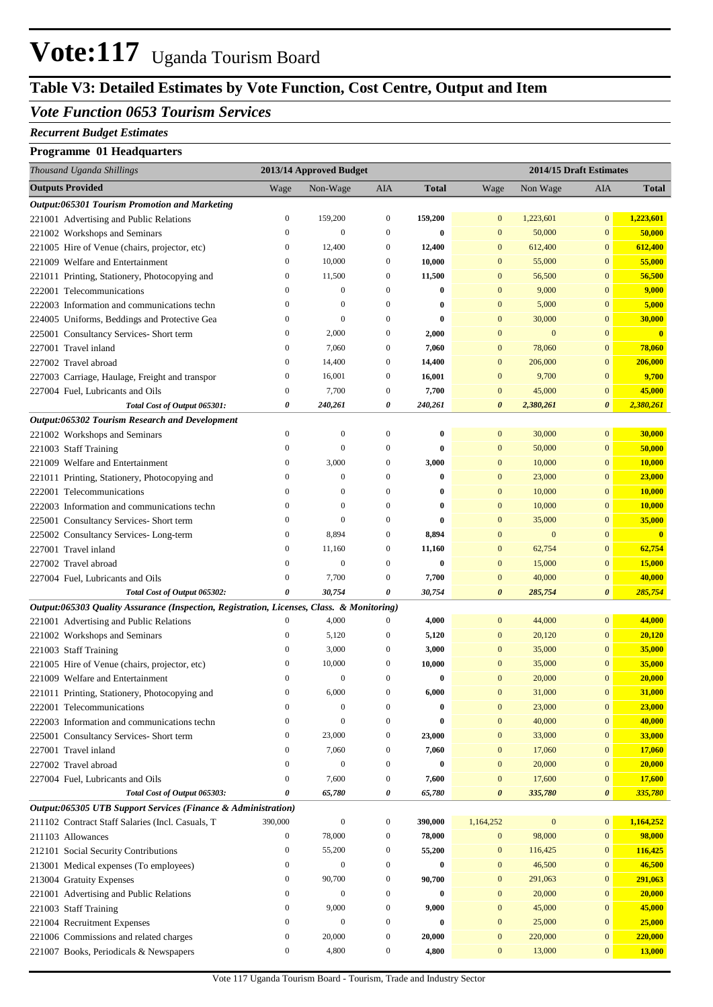## **Table V3: Detailed Estimates by Vote Function, Cost Centre, Output and Item**

#### *Vote Function 0653 Tourism Services*

#### *Recurrent Budget Estimates*

#### **Programme 01 Headquarters**

| Thousand Uganda Shillings                                                                 | 2013/14 Approved Budget          |                              |                                      | 2014/15 Draft Estimates |                              |                  |                              |                                   |
|-------------------------------------------------------------------------------------------|----------------------------------|------------------------------|--------------------------------------|-------------------------|------------------------------|------------------|------------------------------|-----------------------------------|
| <b>Outputs Provided</b>                                                                   | Wage                             | Non-Wage                     | AIA                                  | <b>Total</b>            | Wage                         | Non Wage         | AIA                          | <b>Total</b>                      |
| Output:065301 Tourism Promotion and Marketing                                             |                                  |                              |                                      |                         |                              |                  |                              |                                   |
| 221001 Advertising and Public Relations                                                   | $\boldsymbol{0}$                 | 159,200                      | $\boldsymbol{0}$                     | 159,200                 | $\mathbf{0}$                 | 1,223,601        | $\mathbf{0}$                 | 1,223,601                         |
| 221002 Workshops and Seminars                                                             | $\boldsymbol{0}$                 | $\mathbf{0}$                 | $\mathbf{0}$                         | $\bf{0}$                | $\boldsymbol{0}$             | 50,000           | $\mathbf{0}$                 | 50,000                            |
| 221005 Hire of Venue (chairs, projector, etc)                                             | $\boldsymbol{0}$                 | 12,400                       | $\boldsymbol{0}$                     | 12,400                  | $\mathbf{0}$                 | 612,400          | $\mathbf{0}$                 | 612,400                           |
| 221009 Welfare and Entertainment                                                          | $\boldsymbol{0}$                 | 10,000                       | $\boldsymbol{0}$                     | 10,000                  | $\mathbf{0}$                 | 55,000           | $\mathbf{0}$                 | 55,000                            |
| 221011 Printing, Stationery, Photocopying and                                             | $\boldsymbol{0}$                 | 11,500                       | $\boldsymbol{0}$                     | 11,500                  | $\mathbf{0}$                 | 56,500           | $\mathbf{0}$                 | 56,500                            |
| 222001 Telecommunications                                                                 | $\boldsymbol{0}$                 | $\boldsymbol{0}$             | $\boldsymbol{0}$                     | $\bf{0}$                | $\mathbf{0}$                 | 9,000            | $\mathbf{0}$                 | 9,000                             |
| 222003 Information and communications techn                                               | $\boldsymbol{0}$                 | $\mathbf{0}$                 | $\boldsymbol{0}$                     | $\bf{0}$                | $\mathbf{0}$                 | 5,000            | $\mathbf{0}$                 | 5,000                             |
| 224005 Uniforms, Beddings and Protective Gea                                              | $\boldsymbol{0}$                 | $\mathbf{0}$                 | $\boldsymbol{0}$                     | $\bf{0}$                | $\mathbf{0}$                 | 30,000           | $\mathbf{0}$                 | 30,000                            |
| 225001 Consultancy Services- Short term                                                   | $\boldsymbol{0}$                 | 2,000                        | $\boldsymbol{0}$                     | 2,000                   | $\mathbf{0}$                 | $\mathbf{0}$     | $\mathbf{0}$                 | $\mathbf{0}$                      |
| 227001 Travel inland                                                                      | $\boldsymbol{0}$                 | 7,060                        | $\boldsymbol{0}$                     | 7,060                   | $\mathbf{0}$                 | 78,060           | $\mathbf{0}$                 | 78,060                            |
| 227002 Travel abroad                                                                      | $\boldsymbol{0}$                 | 14,400                       | $\boldsymbol{0}$                     | 14,400                  | $\mathbf{0}$                 | 206,000          | $\mathbf{0}$                 | 206,000                           |
| 227003 Carriage, Haulage, Freight and transpor                                            | $\boldsymbol{0}$                 | 16,001                       | $\boldsymbol{0}$                     | 16,001                  | $\mathbf{0}$                 | 9,700            | $\mathbf{0}$                 | 9,700                             |
| 227004 Fuel, Lubricants and Oils                                                          | $\boldsymbol{0}$                 | 7,700                        | $\boldsymbol{0}$                     | 7,700                   | $\mathbf{0}$                 | 45,000           | $\bf{0}$                     | 45,000                            |
| Total Cost of Output 065301:                                                              | 0                                | 240,261                      | 0                                    | 240,261                 | $\boldsymbol{\theta}$        | 2,380,261        | $\boldsymbol{\theta}$        | 2,380,261                         |
| Output:065302 Tourism Research and Development                                            |                                  |                              |                                      |                         |                              |                  |                              |                                   |
| 221002 Workshops and Seminars                                                             | $\boldsymbol{0}$                 | $\boldsymbol{0}$             | $\boldsymbol{0}$                     | $\bf{0}$                | $\mathbf{0}$                 | 30,000           | $\mathbf{0}$                 | 30,000                            |
| 221003 Staff Training                                                                     | $\boldsymbol{0}$                 | $\overline{0}$               | $\boldsymbol{0}$                     | $\bf{0}$                | $\mathbf{0}$                 | 50,000           | $\mathbf{0}$                 | 50,000                            |
| 221009 Welfare and Entertainment                                                          | $\boldsymbol{0}$                 | 3,000                        | $\boldsymbol{0}$                     | 3,000                   | $\mathbf{0}$                 | 10,000           | $\mathbf{0}$                 | 10,000                            |
| 221011 Printing, Stationery, Photocopying and                                             | $\boldsymbol{0}$<br>$\mathbf{0}$ | $\mathbf{0}$<br>$\mathbf{0}$ | $\boldsymbol{0}$<br>$\boldsymbol{0}$ | $\bf{0}$                | $\mathbf{0}$<br>$\mathbf{0}$ | 23,000           | $\mathbf{0}$<br>$\mathbf{0}$ | 23,000                            |
| 222001 Telecommunications                                                                 | $\boldsymbol{0}$                 | $\mathbf{0}$                 | $\boldsymbol{0}$                     | $\bf{0}$                | $\mathbf{0}$                 | 10,000           | $\mathbf{0}$                 | 10,000                            |
| 222003 Information and communications techn                                               | $\boldsymbol{0}$                 | $\overline{0}$               | $\mathbf{0}$                         | $\bf{0}$                | $\mathbf{0}$                 | 10,000<br>35,000 | $\mathbf{0}$                 | 10,000                            |
| 225001 Consultancy Services- Short term                                                   | $\boldsymbol{0}$                 | 8,894                        | $\boldsymbol{0}$                     | $\bf{0}$                | $\mathbf{0}$                 | $\mathbf{0}$     | $\mathbf{0}$                 | 35,000<br>$\overline{\mathbf{0}}$ |
| 225002 Consultancy Services-Long-term<br>227001 Travel inland                             | $\boldsymbol{0}$                 | 11,160                       | $\boldsymbol{0}$                     | 8,894<br>11,160         | $\mathbf{0}$                 | 62,754           | $\mathbf{0}$                 | 62,754                            |
| 227002 Travel abroad                                                                      | $\boldsymbol{0}$                 | $\boldsymbol{0}$             | $\boldsymbol{0}$                     | $\bf{0}$                | $\mathbf{0}$                 | 15,000           | $\mathbf{0}$                 | <b>15,000</b>                     |
| 227004 Fuel, Lubricants and Oils                                                          | $\boldsymbol{0}$                 | 7,700                        | $\boldsymbol{0}$                     | 7,700                   | $\mathbf{0}$                 | 40,000           | $\boldsymbol{0}$             | 40,000                            |
| Total Cost of Output 065302:                                                              | 0                                | 30,754                       | 0                                    | 30,754                  | $\boldsymbol{\theta}$        | 285,754          | $\boldsymbol{\theta}$        | 285,754                           |
| Output:065303 Quality Assurance (Inspection, Registration, Licenses, Class. & Monitoring) |                                  |                              |                                      |                         |                              |                  |                              |                                   |
| 221001 Advertising and Public Relations                                                   | $\boldsymbol{0}$                 | 4,000                        | $\boldsymbol{0}$                     | 4,000                   | $\mathbf{0}$                 | 44,000           | $\mathbf{0}$                 | 44,000                            |
| 221002 Workshops and Seminars                                                             | $\boldsymbol{0}$                 | 5,120                        | $\boldsymbol{0}$                     | 5,120                   | $\mathbf{0}$                 | 20,120           | $\mathbf{0}$                 | 20,120                            |
| 221003 Staff Training                                                                     | $\boldsymbol{0}$                 | 3,000                        | $\boldsymbol{0}$                     | 3,000                   | $\mathbf{0}$                 | 35,000           | $\mathbf{0}$                 | 35,000                            |
| 221005 Hire of Venue (chairs, projector, etc)                                             | $\boldsymbol{0}$                 | 10,000                       | $\boldsymbol{0}$                     | 10,000                  | $\mathbf{0}$                 | 35,000           | $\mathbf{0}$                 | 35,000                            |
| 221009 Welfare and Entertainment                                                          | $\boldsymbol{0}$                 | $\boldsymbol{0}$             | $\boldsymbol{0}$                     | $\bf{0}$                | $\mathbf{0}$                 | 20,000           | $\boldsymbol{0}$             | 20,000                            |
| 221011 Printing, Stationery, Photocopying and                                             | $\mathbf{0}$                     | 6,000                        | $\mathbf{0}$                         | 6,000                   | $\overline{0}$               | 31,000           | $\mathbf{0}$                 | 31,000                            |
| 222001 Telecommunications                                                                 | $\boldsymbol{0}$                 | $\boldsymbol{0}$             | $\boldsymbol{0}$                     | $\bf{0}$                | $\mathbf{0}$                 | 23,000           | $\mathbf{0}$                 | 23,000                            |
| 222003 Information and communications techn                                               | $\mathbf{0}$                     | $\mathbf{0}$                 | $\boldsymbol{0}$                     | $\bf{0}$                | $\mathbf{0}$                 | 40,000           | $\mathbf{0}$                 | 40,000                            |
| 225001 Consultancy Services- Short term                                                   | $\boldsymbol{0}$                 | 23,000                       | $\boldsymbol{0}$                     | 23,000                  | $\mathbf{0}$                 | 33,000           | $\bf{0}$                     | 33,000                            |
| 227001 Travel inland                                                                      | $\boldsymbol{0}$                 | 7,060                        | $\boldsymbol{0}$                     | 7,060                   | $\mathbf{0}$                 | 17,060           | $\mathbf{0}$                 | 17,060                            |
| 227002 Travel abroad                                                                      | $\boldsymbol{0}$                 | $\boldsymbol{0}$             | $\boldsymbol{0}$                     | $\bf{0}$                | $\mathbf{0}$                 | 20,000           | $\mathbf{0}$                 | 20,000                            |
| 227004 Fuel, Lubricants and Oils                                                          | $\boldsymbol{0}$                 | 7,600                        | $\boldsymbol{0}$                     | 7,600                   | $\mathbf{0}$                 | 17,600           | $\mathbf{0}$                 | 17,600                            |
| Total Cost of Output 065303:                                                              | 0                                | 65,780                       | 0                                    | 65,780                  | $\boldsymbol{\theta}$        | 335,780          | 0                            | 335,780                           |
| Output:065305 UTB Support Services (Finance & Administration)                             |                                  |                              |                                      |                         |                              |                  |                              |                                   |
| 211102 Contract Staff Salaries (Incl. Casuals, T                                          | 390,000                          | $\boldsymbol{0}$             | $\boldsymbol{0}$                     | 390,000                 | 1,164,252                    | $\bf{0}$         | $\mathbf{0}$                 | 1,164,252                         |
| 211103 Allowances                                                                         | $\boldsymbol{0}$                 | 78,000                       | $\boldsymbol{0}$                     | 78,000                  | $\boldsymbol{0}$             | 98,000           | $\mathbf{0}$                 | 98,000                            |
| 212101 Social Security Contributions                                                      | $\boldsymbol{0}$                 | 55,200                       | $\boldsymbol{0}$                     | 55,200                  | $\boldsymbol{0}$             | 116,425          | $\mathbf{0}$                 | 116,425                           |
| 213001 Medical expenses (To employees)                                                    | $\boldsymbol{0}$                 | $\boldsymbol{0}$             | $\boldsymbol{0}$                     | $\bf{0}$                | $\boldsymbol{0}$             | 46,500           | $\bf{0}$                     | 46,500                            |
| 213004 Gratuity Expenses                                                                  | $\boldsymbol{0}$                 | 90,700                       | $\boldsymbol{0}$                     | 90,700                  | $\mathbf{0}$                 | 291,063          | $\mathbf{0}$                 | 291,063                           |
| 221001 Advertising and Public Relations                                                   | $\boldsymbol{0}$                 | $\mathbf{0}$                 | $\boldsymbol{0}$                     | $\bf{0}$                | $\mathbf{0}$                 | 20,000           | $\mathbf{0}$                 | 20,000                            |
| 221003 Staff Training                                                                     | $\boldsymbol{0}$                 | 9,000                        | $\boldsymbol{0}$                     | 9,000                   | $\boldsymbol{0}$             | 45,000           | $\mathbf{0}$                 | 45,000                            |
| 221004 Recruitment Expenses                                                               | $\boldsymbol{0}$                 | $\boldsymbol{0}$             | $\boldsymbol{0}$                     | $\bf{0}$                | $\mathbf{0}$                 | 25,000           | $\bf{0}$                     | 25,000                            |
| 221006 Commissions and related charges                                                    | $\boldsymbol{0}$                 | 20,000                       | $\boldsymbol{0}$                     | 20,000                  | $\boldsymbol{0}$             | 220,000          | $\mathbf{0}$                 | 220,000                           |
| 221007 Books, Periodicals & Newspapers                                                    | $\boldsymbol{0}$                 | 4,800                        | $\boldsymbol{0}$                     | 4,800                   | $\boldsymbol{0}$             | 13,000           | $\bf{0}$                     | 13,000                            |